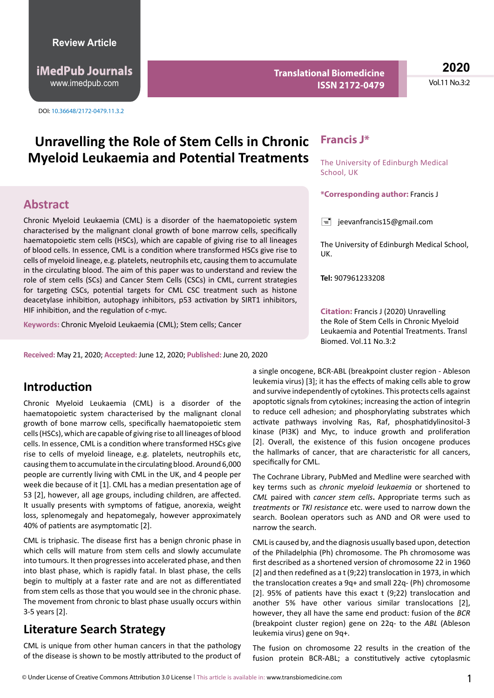http://www.imedpub.com www.imedpub.com **iMedPub Journals**

DOI: 10.36648/2172-0479.11.3.2

**Translational Biomedicine ISSN 2172-0479**

**2020** Vol.11 No.3:2

# Unravelling the Role of Stem Cells in Chronic Francis J\* **Myeloid Leukaemia and Potential Treatments**

## **Abstract**

Chronic Myeloid Leukaemia (CML) is a disorder of the haematopoietic system characterised by the malignant clonal growth of bone marrow cells, specifically haematopoietic stem cells (HSCs), which are capable of giving rise to all lineages of blood cells. In essence, CML is a condition where transformed HSCs give rise to cells of myeloid lineage, e.g. platelets, neutrophils etc, causing them to accumulate in the circulating blood. The aim of this paper was to understand and review the role of stem cells (SCs) and Cancer Stem Cells (CSCs) in CML, current strategies for targeting CSCs, potential targets for CML CSC treatment such as histone deacetylase inhibition, autophagy inhibitors, p53 activation by SIRT1 inhibitors, HIF inhibition, and the regulation of c-myc.

**Keywords:** Chronic Myeloid Leukaemia (CML); Stem cells; Cancer

**Received:** May 21, 2020; **Accepted:** June 12, 2020; **Published:** June 20, 2020

# **Introduction**

Chronic Myeloid Leukaemia (CML) is a disorder of the haematopoietic system characterised by the malignant clonal growth of bone marrow cells, specifically haematopoietic stem cells (HSCs), which are capable of giving rise to all lineages of blood cells. In essence, CML is a condition where transformed HSCs give rise to cells of myeloid lineage, e.g. platelets, neutrophils etc, causing them to accumulate in the circulating blood. Around 6,000 people are currently living with CML in the UK, and 4 people per week die because of it [1]. CML has a median presentation age of 53 [2], however, all age groups, including children, are affected. It usually presents with symptoms of fatigue, anorexia, weight loss, splenomegaly and hepatomegaly, however approximately 40% of patients are asymptomatic [2].

CML is triphasic. The disease first has a benign chronic phase in which cells will mature from stem cells and slowly accumulate into tumours. It then progresses into accelerated phase, and then into blast phase, which is rapidly fatal. In blast phase, the cells begin to multiply at a faster rate and are not as differentiated from stem cells as those that you would see in the chronic phase. The movement from chronic to blast phase usually occurs within 3-5 years [2].

# **Literature Search Strategy**

CML is unique from other human cancers in that the pathology of the disease is shown to be mostly attributed to the product of

The University of Edinburgh Medical School, UK

**\*Corresponding author:** Francis J

 $\equiv$  jeevanfrancis15@gmail.com

The University of Edinburgh Medical School, UK.

**Tel:** 907961233208

**Citation:** Francis J (2020) Unravelling the Role of Stem Cells in Chronic Myeloid Leukaemia and Potential Treatments. Transl Biomed. Vol.11 No.3:2

a single oncogene, BCR-ABL (breakpoint cluster region - Ableson leukemia virus) [3]; it has the effects of making cells able to grow and survive independently of cytokines. This protects cells against apoptotic signals from cytokines; increasing the action of integrin to reduce cell adhesion; and phosphorylating substrates which activate pathways involving Ras, Raf, phosphatidylinositol-3 kinase (PI3K) and Myc, to induce growth and proliferation [2]. Overall, the existence of this fusion oncogene produces the hallmarks of cancer, that are characteristic for all cancers, specifically for CML.

The Cochrane Library, PubMed and Medline were searched with key terms such as *chronic myeloid leukaemia* or shortened to *CML* paired with *cancer stem cells***.** Appropriate terms such as *treatments* or *TKI resistance* etc. were used to narrow down the search. Boolean operators such as AND and OR were used to narrow the search.

CML is caused by, and the diagnosis usually based upon, detection of the Philadelphia (Ph) chromosome. The Ph chromosome was first described as a shortened version of chromosome 22 in 1960 [2] and then redefined as a t (9;22) translocation in 1973, in which the translocation creates a 9q+ and small 22q- (Ph) chromosome [2]. 95% of patients have this exact t (9;22) translocation and another 5% have other various similar translocations [2], however, they all have the same end product: fusion of the *BCR*  (breakpoint cluster region) gene on 22q- to the *ABL* (Ableson leukemia virus) gene on 9q+.

The fusion on chromosome 22 results in the creation of the fusion protein BCR-ABL; a constitutively active cytoplasmic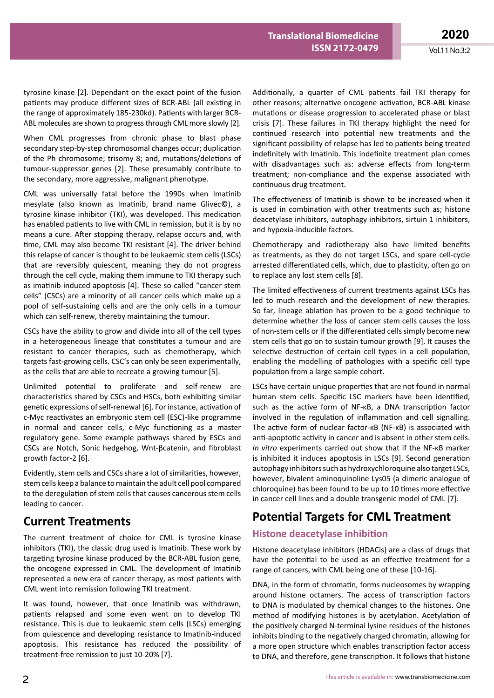tyrosine kinase [2]. Dependant on the exact point of the fusion patients may produce different sizes of BCR-ABL (all existing in the range of approximately 185-230kd). Patients with larger BCR-ABL molecules are shown to progress through CML more slowly [2].

When CML progresses from chronic phase to blast phase secondary step-by-step chromosomal changes occur; duplication of the Ph chromosome; trisomy 8; and, mutations/deletions of tumour-suppressor genes [2]. These presumably contribute to the secondary, more aggressive, malignant phenotype.

CML was universally fatal before the 1990s when Imatinib mesylate (also known as Imatinib, brand name Glivec**©**), a tyrosine kinase inhibitor (TKI), was developed. This medication has enabled patients to live with CML in remission, but it is by no means a cure. After stopping therapy, relapse occurs and, with time, CML may also become TKI resistant [4]. The driver behind this relapse of cancer is thought to be leukaemic stem cells (LSCs) that are reversibly quiescent, meaning they do not progress through the cell cycle, making them immune to TKI therapy such as imatinib-induced apoptosis [4]. These so-called "cancer stem cells" (CSCs) are a minority of all cancer cells which make up a pool of self-sustaining cells and are the only cells in a tumour which can self-renew, thereby maintaining the tumour.

CSCs have the ability to grow and divide into all of the cell types in a heterogeneous lineage that constitutes a tumour and are resistant to cancer therapies, such as chemotherapy, which targets fast-growing cells. CSC's can only be seen experimentally, as the cells that are able to recreate a growing tumour [5].

Unlimited potential to proliferate and self-renew are characteristics shared by CSCs and HSCs, both exhibiting similar genetic expressions of self-renewal [6]. For instance, activation of c-Myc reactivates an embryonic stem cell (ESC)-like programme in normal and cancer cells, c-Myc functioning as a master regulatory gene. Some example pathways shared by ESCs and CSCs are Notch, Sonic hedgehog, Wnt-βcatenin, and fibroblast growth factor-2 [6].

Evidently, stem cells and CSCs share a lot of similarities, however, stem cells keep a balance to maintain the adult cell pool compared to the deregulation of stem cells that causes cancerous stem cells leading to cancer.

## **Current Treatments**

The current treatment of choice for CML is tyrosine kinase inhibitors (TKI), the classic drug used is Imatinib. These work by targeting tyrosine kinase produced by the BCR-ABL fusion gene, the oncogene expressed in CML. The development of Imatinib represented a new era of cancer therapy, as most patients with CML went into remission following TKI treatment.

It was found, however, that once Imatinib was withdrawn, patients relapsed and some even went on to develop TKI resistance. This is due to leukaemic stem cells (LSCs) emerging from quiescence and developing resistance to Imatinib-induced apoptosis. This resistance has reduced the possibility of treatment-free remission to just 10-20% [7].

Additionally, a quarter of CML patients fail TKI therapy for other reasons; alternative oncogene activation, BCR-ABL kinase mutations or disease progression to accelerated phase or blast crisis [7]. These failures in TKI therapy highlight the need for continued research into potential new treatments and the significant possibility of relapse has led to patients being treated indefinitely with Imatinib. This indefinite treatment plan comes with disadvantages such as: adverse effects from long-term treatment; non-compliance and the expense associated with continuous drug treatment.

The effectiveness of Imatinib is shown to be increased when it is used in combination with other treatments such as; histone deacetylase inhibitors, autophagy inhibitors, sirtuin 1 inhibitors, and hypoxia-inducible factors.

Chemotherapy and radiotherapy also have limited benefits as treatments, as they do not target LSCs, and spare cell-cycle arrested differentiated cells, which, due to plasticity, often go on to replace any lost stem cells [8].

The limited effectiveness of current treatments against LSCs has led to much research and the development of new therapies. So far, lineage ablation has proven to be a good technique to determine whether the loss of cancer stem cells causes the loss of non-stem cells or if the differentiated cells simply become new stem cells that go on to sustain tumour growth [9]. It causes the selective destruction of certain cell types in a cell population, enabling the modelling of pathologies with a specific cell type population from a large sample cohort.

LSCs have certain unique properties that are not found in normal human stem cells. Specific LSC markers have been identified, such as the active form of NF-κB, a DNA transcription factor involved in the regulation of inflammation and cell signalling. The active form of nuclear factor-κB (NF-κB) is associated with anti-apoptotic activity in cancer and is absent in other stem cells. *In vitro* experiments carried out show that if the NF-κB marker is inhibited it induces apoptosis in LSCs [9]. Second generation autophagy inhibitors such as hydroxychloroquine also target LSCs, however, bivalent aminoquinoline Lys05 (a dimeric analogue of chloroquine) has been found to be up to 10 times more effective in cancer cell lines and a double transgenic model of CML [7].

# **Potential Targets for CML Treatment**

## **Histone deacetylase inhibition**

Histone deacetylase inhibitors (HDACis) are a class of drugs that have the potential to be used as an effective treatment for a range of cancers, with CML being one of these [10-16].

DNA, in the form of chromatin, forms nucleosomes by wrapping around histone octamers. The access of transcription factors to DNA is modulated by chemical changes to the histones. One method of modifying histones is by acetylation. Acetylation of the positively charged N-terminal lysine residues of the histones inhibits binding to the negatively charged chromatin, allowing for a more open structure which enables transcription factor access to DNA, and therefore, gene transcription. It follows that histone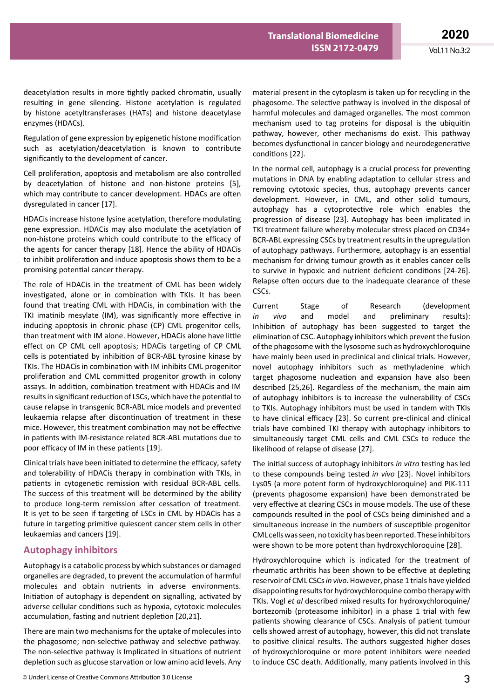deacetylation results in more tightly packed chromatin, usually resulting in gene silencing. Histone acetylation is regulated by histone acetyltransferases (HATs) and histone deacetylase enzymes (HDACs).

Regulation of gene expression by epigenetic histone modification such as acetylation/deacetylation is known to contribute significantly to the development of cancer.

Cell proliferation, apoptosis and metabolism are also controlled by deacetylation of histone and non-histone proteins [5], which may contribute to cancer development. HDACs are often dysregulated in cancer [17].

HDACis increase histone lysine acetylation, therefore modulating gene expression. HDACis may also modulate the acetylation of non-histone proteins which could contribute to the efficacy of the agents for cancer therapy [18]. Hence the ability of HDACis to inhibit proliferation and induce apoptosis shows them to be a promising potential cancer therapy.

The role of HDACis in the treatment of CML has been widely investigated, alone or in combination with TKIs. It has been found that treating CML with HDACis, in combination with the TKI imatinib mesylate (IM), was significantly more effective in inducing apoptosis in chronic phase (CP) CML progenitor cells, than treatment with IM alone. However, HDACis alone have little effect on CP CML cell apoptosis; HDACis targeting of CP CML cells is potentiated by inhibition of BCR-ABL tyrosine kinase by TKIs. The HDACis in combination with IM inhibits CML progenitor proliferation and CML committed progenitor growth in colony assays. In addition, combination treatment with HDACis and IM results in significant reduction of LSCs, which have the potential to cause relapse in transgenic BCR-ABL mice models and prevented leukaemia relapse after discontinuation of treatment in these mice. However, this treatment combination may not be effective in patients with IM-resistance related BCR-ABL mutations due to poor efficacy of IM in these patients [19].

Clinical trials have been initiated to determine the efficacy, safety and tolerability of HDACis therapy in combination with TKIs, in patients in cytogenetic remission with residual BCR-ABL cells. The success of this treatment will be determined by the ability to produce long-term remission after cessation of treatment. It is yet to be seen if targeting of LSCs in CML by HDACis has a future in targeting primitive quiescent cancer stem cells in other leukaemias and cancers [19].

#### **Autophagy inhibitors**

Autophagy is a catabolic process by which substances or damaged organelles are degraded, to prevent the accumulation of harmful molecules and obtain nutrients in adverse environments. Initiation of autophagy is dependent on signalling, activated by adverse cellular conditions such as hypoxia, cytotoxic molecules accumulation, fasting and nutrient depletion [20,21].

There are main two mechanisms for the uptake of molecules into the phagosome; non-selective pathway and selective pathway. The non-selective pathway is Implicated in situations of nutrient depletion such as glucose starvation or low amino acid levels. Any

material present in the cytoplasm is taken up for recycling in the phagosome. The selective pathway is involved in the disposal of harmful molecules and damaged organelles. The most common mechanism used to tag proteins for disposal is the ubiquitin pathway, however, other mechanisms do exist. This pathway becomes dysfunctional in cancer biology and neurodegenerative conditions [22].

In the normal cell, autophagy is a crucial process for preventing mutations in DNA by enabling adaptation to cellular stress and removing cytotoxic species, thus, autophagy prevents cancer development. However, in CML, and other solid tumours, autophagy has a cytoprotective role which enables the progression of disease [23]. Autophagy has been implicated in TKI treatment failure whereby molecular stress placed on CD34+ BCR-ABL expressing CSCs by treatment results in the upregulation of autophagy pathways. Furthermore, autophagy is an essential mechanism for driving tumour growth as it enables cancer cells to survive in hypoxic and nutrient deficient conditions [24-26]. Relapse often occurs due to the inadequate clearance of these CSCs.

Current Stage of Research (development *in vivo* and model and preliminary results): Inhibition of autophagy has been suggested to target the elimination of CSC. Autophagy inhibitors which prevent the fusion of the phagosome with the lysosome such as hydroxychloroquine have mainly been used in preclinical and clinical trials. However, novel autophagy inhibitors such as methyladenine which target phagosome nucleation and expansion have also been described [25,26]. Regardless of the mechanism, the main aim of autophagy inhibitors is to increase the vulnerability of CSCs to TKIs. Autophagy inhibitors must be used in tandem with TKIs to have clinical efficacy [23]. So current pre-clinical and clinical trials have combined TKI therapy with autophagy inhibitors to simultaneously target CML cells and CML CSCs to reduce the likelihood of relapse of disease [27].

The initial success of autophagy inhibitors *in vitro* testing has led to these compounds being tested *in vivo* [23]. Novel inhibitors Lys05 (a more potent form of hydroxychloroquine) and PIK-111 (prevents phagosome expansion) have been demonstrated be very effective at clearing CSCs in mouse models. The use of these compounds resulted in the pool of CSCs being diminished and a simultaneous increase in the numbers of susceptible progenitor CML cells was seen, no toxicity has been reported. These inhibitors were shown to be more potent than hydroxychloroquine [28].

Hydroxychloroquine which is indicated for the treatment of rheumatic arthritis has been shown to be effective at depleting reservoir of CML CSCs *in vivo*. However, phase 1 trials have yielded disappointing results for hydroxychloroquine combo therapy with TKIs. Vogl *et al* described mixed results for hydroxychloroquine/ bortezomib (proteasome inhibitor) in a phase 1 trial with few patients showing clearance of CSCs. Analysis of patient tumour cells showed arrest of autophagy, however, this did not translate to positive clinical results. The authors suggested higher doses of hydroxychloroquine or more potent inhibitors were needed to induce CSC death. Additionally, many patients involved in this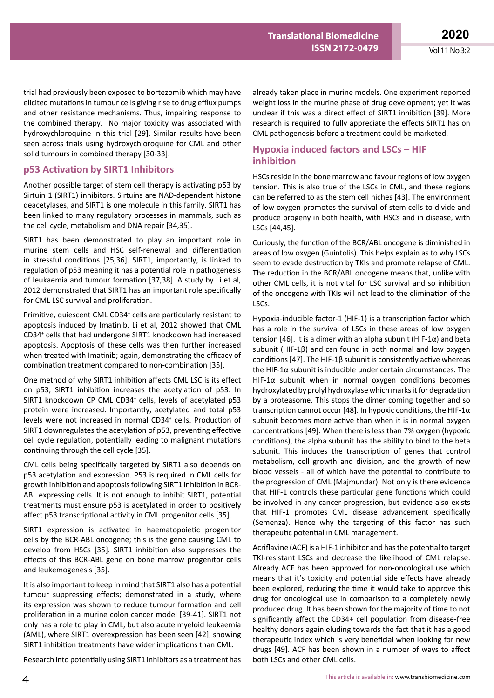**2020** Vol.11 No.3:2

trial had previously been exposed to bortezomib which may have elicited mutations in tumour cells giving rise to drug efflux pumps and other resistance mechanisms. Thus, impairing response to the combined therapy. No major toxicity was associated with hydroxychloroquine in this trial [29]. Similar results have been seen across trials using hydroxychloroquine for CML and other solid tumours in combined therapy [30-33].

#### **p53 Activation by SIRT1 Inhibitors**

Another possible target of stem cell therapy is activating p53 by Sirtuin 1 (SIRT1) inhibitors. Sirtuins are NAD-dependent histone deacetylases, and SIRT1 is one molecule in this family. SIRT1 has been linked to many regulatory processes in mammals, such as the cell cycle, metabolism and DNA repair [34,35].

SIRT1 has been demonstrated to play an important role in murine stem cells and HSC self-renewal and differentiation in stressful conditions [25,36]. SIRT1, importantly, is linked to regulation of p53 meaning it has a potential role in pathogenesis of leukaemia and tumour formation [37,38]. A study by Li et al, 2012 demonstrated that SIRT1 has an important role specifically for CML LSC survival and proliferation.

Primitive, quiescent CML CD34<sup>+</sup> cells are particularly resistant to apoptosis induced by Imatinib. Li et al, 2012 showed that CML CD34+ cells that had undergone SIRT1 knockdown had increased apoptosis. Apoptosis of these cells was then further increased when treated with Imatinib; again, demonstrating the efficacy of combination treatment compared to non-combination [35].

One method of why SIRT1 inhibition affects CML LSC is its effect on p53; SIRT1 inhibition increases the acetylation of p53. In SIRT1 knockdown CP CML CD34<sup>+</sup> cells, levels of acetylated p53 protein were increased. Importantly, acetylated and total p53 levels were not increased in normal CD34<sup>+</sup> cells. Production of SIRT1 downregulates the acetylation of p53, preventing effective cell cycle regulation, potentially leading to malignant mutations continuing through the cell cycle [35].

CML cells being specifically targeted by SIRT1 also depends on p53 acetylation and expression. P53 is required in CML cells for growth inhibition and apoptosis following SIRT1 inhibition in BCR-ABL expressing cells. It is not enough to inhibit SIRT1, potential treatments must ensure p53 is acetylated in order to positively affect p53 transcriptional activity in CML progenitor cells [35].

SIRT1 expression is activated in haematopoietic progenitor cells by the BCR-ABL oncogene; this is the gene causing CML to develop from HSCs [35]. SIRT1 inhibition also suppresses the effects of this BCR-ABL gene on bone marrow progenitor cells and leukemogenesis [35].

It is also important to keep in mind that SIRT1 also has a potential tumour suppressing effects; demonstrated in a study, where its expression was shown to reduce tumour formation and cell proliferation in a murine colon cancer model [39-41]. SIRT1 not only has a role to play in CML, but also acute myeloid leukaemia (AML), where SIRT1 overexpression has been seen [42], showing SIRT1 inhibition treatments have wider implications than CML.

Research into potentially using SIRT1 inhibitors as a treatment has

already taken place in murine models. One experiment reported weight loss in the murine phase of drug development; yet it was unclear if this was a direct effect of SIRT1 inhibition [39]. More research is required to fully appreciate the effects SIRT1 has on CML pathogenesis before a treatment could be marketed.

#### **Hypoxia induced factors and LSCs – HIF inhibition**

HSCs reside in the bone marrow and favour regions of low oxygen tension. This is also true of the LSCs in CML, and these regions can be referred to as the stem cell niches [43]. The environment of low oxygen promotes the survival of stem cells to divide and produce progeny in both health, with HSCs and in disease, with LSCs [44,45].

Curiously, the function of the BCR/ABL oncogene is diminished in areas of low oxygen (Guintolis). This helps explain as to why LSCs seem to evade destruction by TKIs and promote relapse of CML. The reduction in the BCR/ABL oncogene means that, unlike with other CML cells, it is not vital for LSC survival and so inhibition of the oncogene with TKIs will not lead to the elimination of the LSCs.

Hypoxia-inducible factor-1 (HIF-1) is a transcription factor which has a role in the survival of LSCs in these areas of low oxygen tension [46]. It is a dimer with an alpha subunit (HIF-1α) and beta subunit (HIF-1β) and can found in both normal and low oxygen conditions [47]. The HIF-1β subunit is consistently active whereas the HIF-1α subunit is inducible under certain circumstances. The HIF-1 $\alpha$  subunit when in normal oxygen conditions becomes hydroxylated by prolyl hydroxylase which marks it for degradation by a proteasome. This stops the dimer coming together and so transcription cannot occur [48]. In hypoxic conditions, the HIF-1 $\alpha$ subunit becomes more active than when it is in normal oxygen concentrations [49]. When there is less than 7% oxygen (hypoxic conditions), the alpha subunit has the ability to bind to the beta subunit. This induces the transcription of genes that control metabolism, cell growth and division, and the growth of new blood vessels - all of which have the potential to contribute to the progression of CML (Majmundar). Not only is there evidence that HIF-1 controls these particular gene functions which could be involved in any cancer progression, but evidence also exists that HIF-1 promotes CML disease advancement specifically (Semenza). Hence why the targeting of this factor has such therapeutic potential in CML management.

Acriflavine (ACF) is a HIF-1 inhibitor and has the potential to target TKI-resistant LSCs and decrease the likelihood of CML relapse. Already ACF has been approved for non-oncological use which means that it's toxicity and potential side effects have already been explored, reducing the time it would take to approve this drug for oncological use in comparison to a completely newly produced drug. It has been shown for the majority of time to not significantly affect the CD34+ cell population from disease-free healthy donors again eluding towards the fact that it has a good therapeutic index which is very beneficial when looking for new drugs [49]. ACF has been shown in a number of ways to affect both LSCs and other CML cells.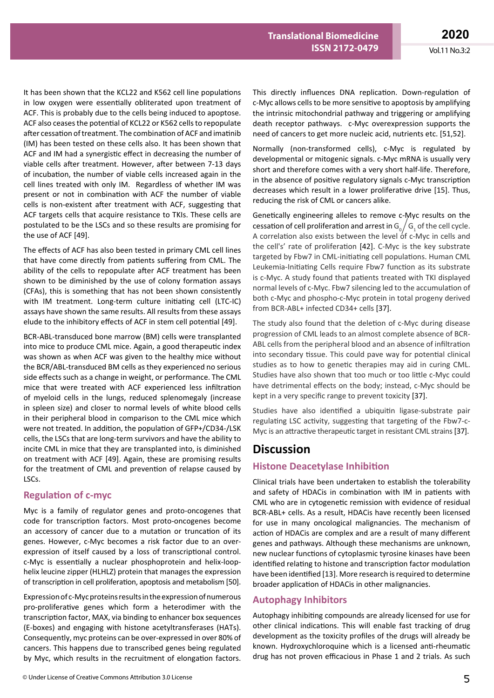It has been shown that the KCL22 and K562 cell line populations in low oxygen were essentially obliterated upon treatment of ACF. This is probably due to the cells being induced to apoptose. ACF also ceases the potential of KCL22 or K562 cells to repopulate after cessation of treatment. The combination of ACF and imatinib (IM) has been tested on these cells also. It has been shown that ACF and IM had a synergistic effect in decreasing the number of viable cells after treatment. However, after between 7-13 days of incubation, the number of viable cells increased again in the cell lines treated with only IM. Regardless of whether IM was present or not in combination with ACF the number of viable cells is non-existent after treatment with ACF, suggesting that ACF targets cells that acquire resistance to TKIs. These cells are postulated to be the LSCs and so these results are promising for the use of ACF [49].

The effects of ACF has also been tested in primary CML cell lines that have come directly from patients suffering from CML. The ability of the cells to repopulate after ACF treatment has been shown to be diminished by the use of colony formation assays (CFAs), this is something that has not been shown consistently with IM treatment. Long-term culture initiating cell (LTC-IC) assays have shown the same results. All results from these assays elude to the inhibitory effects of ACF in stem cell potential [49].

BCR-ABL-transduced bone marrow (BM) cells were transplanted into mice to produce CML mice. Again, a good therapeutic index was shown as when ACF was given to the healthy mice without the BCR/ABL-transduced BM cells as they experienced no serious side effects such as a change in weight, or performance. The CML mice that were treated with ACF experienced less infiltration of myeloid cells in the lungs, reduced splenomegaly (increase in spleen size) and closer to normal levels of white blood cells in their peripheral blood in comparison to the CML mice which were not treated. In addition, the population of GFP+/CD34-/LSK cells, the LSCs that are long-term survivors and have the ability to incite CML in mice that they are transplanted into, is diminished on treatment with ACF [49]. Again, these are promising results for the treatment of CML and prevention of relapse caused by LSCs.

#### **Regulation of c-myc**

Myc is a family of regulator genes and proto-oncogenes that code for transcription factors. Most proto-oncogenes become an accessory of cancer due to a mutation or truncation of its genes. However, c-Myc becomes a risk factor due to an overexpression of itself caused by a loss of transcriptional control. c-Myc is essentially a nuclear phosphoprotein and helix-loophelix leucine zipper (HLHLZ) protein that manages the expression of transcription in cell proliferation, apoptosis and metabolism [50].

Expression of c-Myc proteins results in the expression of numerous pro-proliferative genes which form a heterodimer with the transcription factor, MAX, via binding to enhancer box sequences (E-boxes) and engaging with histone acetyltransferases (HATs). Consequently, myc proteins can be over-expressed in over 80% of cancers. This happens due to transcribed genes being regulated by Myc, which results in the recruitment of elongation factors.

This directly influences DNA replication. Down-regulation of c-Myc allows cells to be more sensitive to apoptosis by amplifying the intrinsic mitochondrial pathway and triggering or amplifying death receptor pathways. c-Myc overexpression supports the need of cancers to get more nucleic acid, nutrients etc. [51,52].

Normally (non-transformed cells), c-Myc is regulated by developmental or mitogenic signals. c-Myc mRNA is usually very short and therefore comes with a very short half-life. Therefore, in the absence of positive regulatory signals c-Myc transcription decreases which result in a lower proliferative drive [15]. Thus, reducing the risk of CML or cancers alike.

Genetically engineering alleles to remove c-Myc results on the cessation of cell proliferation and arrest in  $G_0/G_1$  of the cell cycle. A correlation also exists between the level of c-Myc in cells and the cell's' rate of proliferation [42]. C-Myc is the key substrate targeted by Fbw7 in CML-initiating cell populations. Human CML Leukemia-Initiating Cells require Fbw7 function as its substrate is c-Myc. A study found that patients treated with TKI displayed normal levels of c-Myc. Fbw7 silencing led to the accumulation of both c-Myc and phospho-c-Myc protein in total progeny derived from BCR-ABL+ infected CD34+ cells [37].

The study also found that the deletion of c-Myc during disease progression of CML leads to an almost complete absence of BCR-ABL cells from the peripheral blood and an absence of infiltration into secondary tissue. This could pave way for potential clinical studies as to how to genetic therapies may aid in curing CML. Studies have also shown that too much or too little c-Myc could have detrimental effects on the body; instead, c-Myc should be kept in a very specific range to prevent toxicity [37].

Studies have also identified a ubiquitin ligase-substrate pair regulating LSC activity, suggesting that targeting of the Fbw7-c-Myc is an attractive therapeutic target in resistant CML strains [37].

## **Discussion**

### **Histone Deacetylase Inhibition**

Clinical trials have been undertaken to establish the tolerability and safety of HDACis in combination with IM in patients with CML who are in cytogenetic remission with evidence of residual BCR-ABL+ cells. As a result, HDACis have recently been licensed for use in many oncological malignancies. The mechanism of action of HDACis are complex and are a result of many different genes and pathways. Although these mechanisms are unknown, new nuclear functions of cytoplasmic tyrosine kinases have been identified relating to histone and transcription factor modulation have been identified [13]. More research is required to determine broader application of HDACis in other malignancies.

### **Autophagy Inhibitors**

Autophagy inhibiting compounds are already licensed for use for other clinical indications. This will enable fast tracking of drug development as the toxicity profiles of the drugs will already be known. Hydroxychloroquine which is a licensed anti-rheumatic drug has not proven efficacious in Phase 1 and 2 trials. As such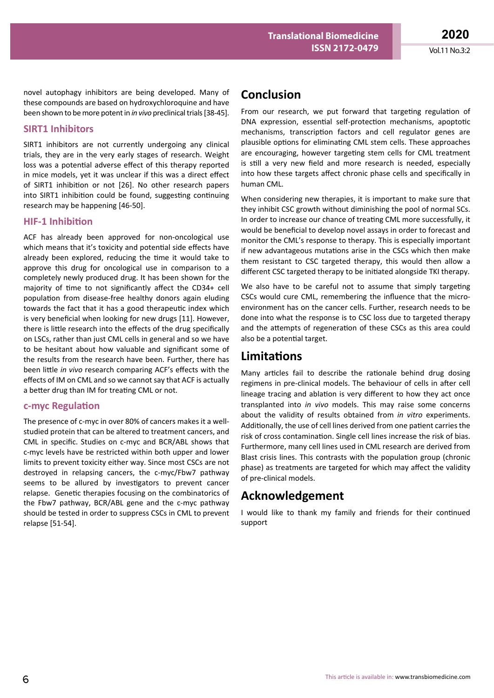**2020** Vol.11 No.3:2

novel autophagy inhibitors are being developed. Many of these compounds are based on hydroxychloroquine and have been shown to be more potent in *in vivo* preclinical trials[38-45].

#### **SIRT1 Inhibitors**

SIRT1 inhibitors are not currently undergoing any clinical trials, they are in the very early stages of research. Weight loss was a potential adverse effect of this therapy reported in mice models, yet it was unclear if this was a direct effect of SIRT1 inhibition or not [26]. No other research papers into SIRT1 inhibition could be found, suggesting continuing research may be happening [46-50].

#### **HIF-1 Inhibition**

ACF has already been approved for non-oncological use which means that it's toxicity and potential side effects have already been explored, reducing the time it would take to approve this drug for oncological use in comparison to a completely newly produced drug. It has been shown for the majority of time to not significantly affect the CD34+ cell population from disease-free healthy donors again eluding towards the fact that it has a good therapeutic index which is very beneficial when looking for new drugs [11]. However, there is little research into the effects of the drug specifically on LSCs, rather than just CML cells in general and so we have to be hesitant about how valuable and significant some of the results from the research have been. Further, there has been little *in vivo* research comparing ACF's effects with the effects of IM on CML and so we cannot say that ACF is actually a better drug than IM for treating CML or not.

#### **c-myc Regulation**

The presence of c-myc in over 80% of cancers makes it a wellstudied protein that can be altered to treatment cancers, and CML in specific. Studies on c-myc and BCR/ABL shows that c-myc levels have be restricted within both upper and lower limits to prevent toxicity either way. Since most CSCs are not destroyed in relapsing cancers, the c-myc/Fbw7 pathway seems to be allured by investigators to prevent cancer relapse. Genetic therapies focusing on the combinatorics of the Fbw7 pathway, BCR/ABL gene and the c-myc pathway should be tested in order to suppress CSCs in CML to prevent relapse [51-54].

# **Conclusion**

From our research, we put forward that targeting regulation of DNA expression, essential self-protection mechanisms, apoptotic mechanisms, transcription factors and cell regulator genes are plausible options for eliminating CML stem cells. These approaches are encouraging, however targeting stem cells for CML treatment is still a very new field and more research is needed, especially into how these targets affect chronic phase cells and specifically in human CML.

When considering new therapies, it is important to make sure that they inhibit CSC growth without diminishing the pool of normal SCs. In order to increase our chance of treating CML more successfully, it would be beneficial to develop novel assays in order to forecast and monitor the CML's response to therapy. This is especially important if new advantageous mutations arise in the CSCs which then make them resistant to CSC targeted therapy, this would then allow a different CSC targeted therapy to be initiated alongside TKI therapy.

We also have to be careful not to assume that simply targeting CSCs would cure CML, remembering the influence that the microenvironment has on the cancer cells. Further, research needs to be done into what the response is to CSC loss due to targeted therapy and the attempts of regeneration of these CSCs as this area could also be a potential target.

# **Limitations**

Many articles fail to describe the rationale behind drug dosing regimens in pre-clinical models. The behaviour of cells in after cell lineage tracing and ablation is very different to how they act once transplanted into *in vivo* models. This may raise some concerns about the validity of results obtained from *in vitro* experiments. Additionally, the use of cell lines derived from one patient carries the risk of cross contamination. Single cell lines increase the risk of bias. Furthermore, many cell lines used in CML research are derived from Blast crisis lines. This contrasts with the population group (chronic phase) as treatments are targeted for which may affect the validity of pre-clinical models.

## **Acknowledgement**

I would like to thank my family and friends for their continued support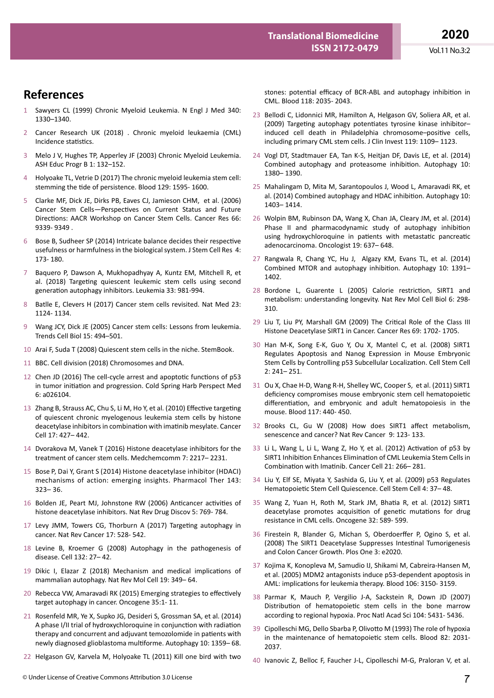**References** 

- 1 Sawyers CL (1999) Chronic Myeloid Leukemia. N Engl J Med 340: 1330–1340.
- 2 Cancer Research UK (2018) . Chronic myeloid leukaemia (CML) Incidence statistics.
- 3 Melo J V, Hughes TP, Apperley JF (2003) Chronic Myeloid Leukemia. ASH Educ Progr B 1: 132–152.
- 4 Holyoake TL, Vetrie D (2017) The chronic myeloid leukemia stem cell: stemming the tide of persistence. Blood 129: 1595- 1600.
- 5 Clarke MF, Dick JE, Dirks PB, Eaves CJ, Jamieson CHM, et al. (2006) Cancer Stem Cells—Perspectives on Current Status and Future Directions: AACR Workshop on Cancer Stem Cells. Cancer Res 66: 9339- 9349 .
- 6 Bose B, Sudheer SP (2014) Intricate balance decides their respective usefulness or harmfulness in the biological system. J Stem Cell Res 4: 173- 180.
- 7 Baquero P, Dawson A, Mukhopadhyay A, Kuntz EM, Mitchell R, et al. (2018) Targeting quiescent leukemic stem cells using second generation autophagy inhibitors. Leukemia 33: 981-994.
- 8 Batlle E, Clevers H (2017) Cancer stem cells revisited. Nat Med 23: 1124- 1134.
- 9 Wang JCY, Dick JE (2005) Cancer stem cells: Lessons from leukemia. Trends Cell Biol 15: 494–501.
- 10 Arai F, Suda T (2008) Quiescent stem cells in the niche. StemBook.
- 11 BBC. Cell division (2018) Chromosomes and DNA.
- 12 Chen JD (2016) The cell-cycle arrest and apoptotic functions of p53 in tumor initiation and progression. Cold Spring Harb Perspect Med 6: a026104.
- 13 Zhang B, Strauss AC, Chu S, Li M, Ho Y, et al. (2010) Effective targeting of quiescent chronic myelogenous leukemia stem cells by histone deacetylase inhibitors in combination with imatinib mesylate. Cancer Cell 17: 427– 442.
- 14 Dvorakova M, Vanek T (2016) Histone deacetylase inhibitors for the treatment of cancer stem cells. Medchemcomm 7: 2217– 2231.
- 15 Bose P, Dai Y, Grant S (2014) Histone deacetylase inhibitor (HDACI) mechanisms of action: emerging insights. Pharmacol Ther 143: 323– 36.
- 16 Bolden JE, Peart MJ, Johnstone RW (2006) Anticancer activities of histone deacetylase inhibitors. Nat Rev Drug Discov 5: 769- 784.
- 17 Levy JMM, Towers CG, Thorburn A (2017) Targeting autophagy in cancer. Nat Rev Cancer 17: 528- 542.
- 18 Levine B, Kroemer G (2008) Autophagy in the pathogenesis of disease. Cell 132: 27– 42.
- 19 Dikic I, Elazar Z (2018) Mechanism and medical implications of mammalian autophagy. Nat Rev Mol Cell 19: 349– 64.
- 20 Rebecca VW, Amaravadi RK (2015) Emerging strategies to effectively target autophagy in cancer. Oncogene 35:1- 11.
- 21 Rosenfeld MR, Ye X, Supko JG, Desideri S, Grossman SA, et al. (2014) A phase I/II trial of hydroxychloroquine in conjunction with radiation therapy and concurrent and adjuvant temozolomide in patients with newly diagnosed glioblastoma multiforme. Autophagy 10: 1359– 68.
- 22 Helgason GV, Karvela M, Holyoake TL (2011) Kill one bird with two

stones: potential efficacy of BCR-ABL and autophagy inhibition in CML. Blood 118: 2035- 2043.

- 23 Bellodi C, Lidonnici MR, Hamilton A, Helgason GV, Soliera AR, et al. (2009) Targeting autophagy potentiates tyrosine kinase inhibitor– induced cell death in Philadelphia chromosome–positive cells, including primary CML stem cells. J Clin Invest 119: 1109– 1123.
- 24 Vogl DT, Stadtmauer EA, Tan K-S, Heitjan DF, Davis LE, et al. (2014) Combined autophagy and proteasome inhibition. Autophagy 10: 1380– 1390.
- 25 Mahalingam D, Mita M, Sarantopoulos J, Wood L, Amaravadi RK, et al. (2014) Combined autophagy and HDAC inhibition. Autophagy 10: 1403– 1414.
- 26 Wolpin BM, Rubinson DA, Wang X, Chan JA, Cleary JM, et al. (2014) Phase II and pharmacodynamic study of autophagy inhibition using hydroxychloroquine in patients with metastatic pancreatic adenocarcinoma. Oncologist 19: 637– 648.
- 27 Rangwala R, Chang YC, Hu J, Algazy KM, Evans TL, et al. (2014) Combined MTOR and autophagy inhibition. Autophagy 10: 1391– 1402.
- 28 Bordone L, Guarente L (2005) Calorie restriction, SIRT1 and metabolism: understanding longevity. Nat Rev Mol Cell Biol 6: 298- 310.
- 29 Liu T, Liu PY, Marshall GM (2009) The Critical Role of the Class III Histone Deacetylase SIRT1 in Cancer. Cancer Res 69: 1702- 1705.
- 30 Han M-K, Song E-K, Guo Y, Ou X, Mantel C, et al. (2008) SIRT1 Regulates Apoptosis and Nanog Expression in Mouse Embryonic Stem Cells by Controlling p53 Subcellular Localization. Cell Stem Cell 2: 241– 251.
- 31 Ou X, Chae H-D, Wang R-H, Shelley WC, Cooper S, et al. (2011) SIRT1 deficiency compromises mouse embryonic stem cell hematopoietic differentiation, and embryonic and adult hematopoiesis in the mouse. Blood 117: 440- 450.
- 32 Brooks CL, Gu W (2008) How does SIRT1 affect metabolism, senescence and cancer? Nat Rev Cancer 9: 123- 133.
- 33 Li L, Wang L, Li L, Wang Z, Ho Y, et al. (2012) Activation of p53 by SIRT1 Inhibition Enhances Elimination of CML Leukemia Stem Cells in Combination with Imatinib. Cancer Cell 21: 266– 281.
- 34 Liu Y, Elf SE, Miyata Y, Sashida G, Liu Y, et al. (2009) p53 Regulates Hematopoietic Stem Cell Quiescence. Cell Stem Cell 4: 37– 48.
- 35 Wang Z, Yuan H, Roth M, Stark JM, Bhatia R, et al. (2012) SIRT1 deacetylase promotes acquisition of genetic mutations for drug resistance in CML cells. Oncogene 32: 589- 599.
- 36 Firestein R, Blander G, Michan S, Oberdoerffer P, Ogino S, et al. (2008) The SIRT1 Deacetylase Suppresses Intestinal Tumorigenesis and Colon Cancer Growth. Plos One 3: e2020.
- 37 Kojima K, Konopleva M, Samudio IJ, Shikami M, Cabreira-Hansen M, et al. (2005) MDM2 antagonists induce p53-dependent apoptosis in AML: implications for leukemia therapy. Blood 106: 3150- 3159.
- 38 Parmar K, Mauch P, Vergilio J-A, Sackstein R, Down JD (2007) Distribution of hematopoietic stem cells in the bone marrow according to regional hypoxia. Proc Natl Acad Sci 104: 5431- 5436.
- 39 Cipolleschi MG, Dello Sbarba P, Olivotto M (1993) The role of hypoxia in the maintenance of hematopoietic stem cells. Blood 82: 2031- 2037.
- 40 Ivanovic Z, Belloc F, Faucher J-L, Cipolleschi M-G, Praloran V, et al.